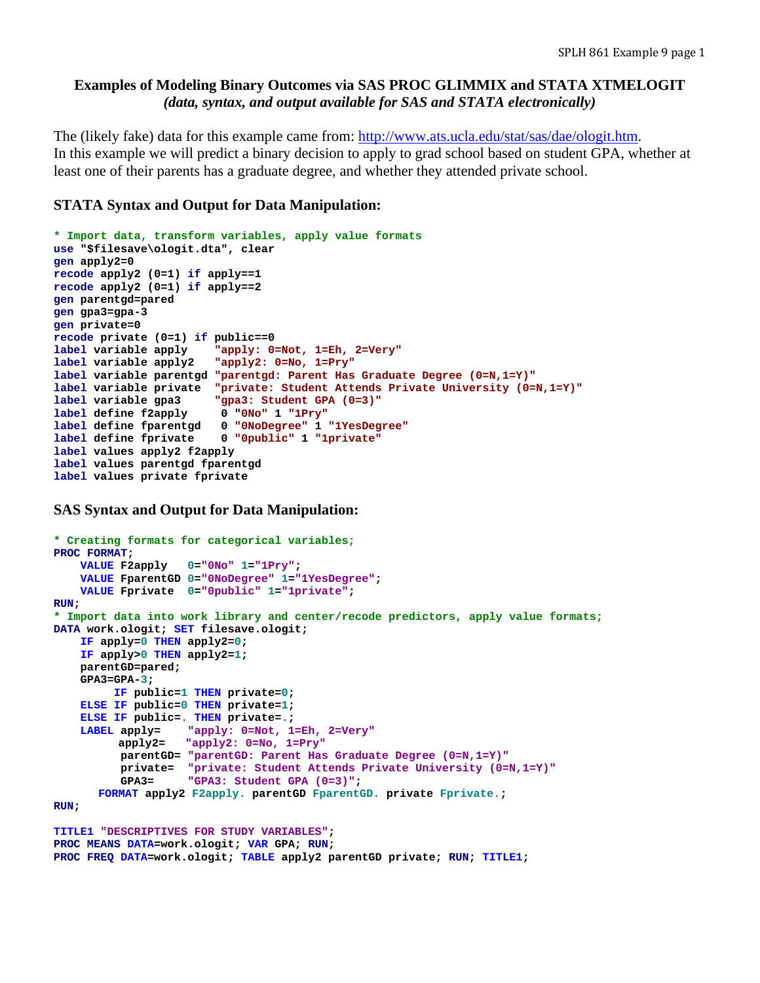# **Examples of Modeling Binary Outcomes via SAS PROC GLIMMIX and STATA XTMELOGIT**  *(data, syntax, and output available for SAS and STATA electronically)*

The (likely fake) data for this example came from: http://www.ats.ucla.edu/stat/sas/dae/ologit.htm. In this example we will predict a binary decision to apply to grad school based on student GPA, whether at least one of their parents has a graduate degree, and whether they attended private school.

# **STATA Syntax and Output for Data Manipulation:**

```
* Import data, transform variables, apply value formats 
use "$filesave\ologit.dta", clear 
gen apply2=0 
recode apply2 (0=1) if apply==1 
recode apply2 (0=1) if apply==2 
gen parentgd=pared 
gen gpa3=gpa-3 
gen private=0 
recode private (0=1) if public==0 
label variable apply "apply: 0=Not, 1=Eh, 2=Very"
label variable apply2 "apply2: 0=No, 1=Pry" 
label variable parentgd "parentgd: Parent Has Graduate Degree (0=N,1=Y)"
label variable private "private: Student Attends Private University (0=N,1=Y)"
label variable gpa3 "gpa3: Student GPA (0=3)"
label define f2apply 0 "0No" 1 "1Pry"
label define fparentgd 0 "0NoDegree" 1 "1YesDegree"
label define fprivate 0 "0public" 1 "1private"
label values apply2 f2apply 
label values parentgd fparentgd 
label values private fprivate
```
**SAS Syntax and Output for Data Manipulation:**

```
* Creating formats for categorical variables;
PROC FORMAT; 
     VALUE F2apply 0="0No" 1="1Pry"; 
     VALUE FparentGD 0="0NoDegree" 1="1YesDegree"; 
     VALUE Fprivate 0="0public" 1="1private"; 
RUN; 
* Import data into work library and center/recode predictors, apply value formats;
DATA work.ologit; SET filesave.ologit; 
     IF apply=0 THEN apply2=0; 
     IF apply>0 THEN apply2=1; 
     parentGD=pared; 
     GPA3=GPA-3; 
          IF public=1 THEN private=0; 
     ELSE IF public=0 THEN private=1; 
     ELSE IF public=. THEN private=.; 
     LABEL apply= "apply: 0=Not, 1=Eh, 2=Very"
           apply2= "apply2: 0=No, 1=Pry"
           parentGD= "parentGD: Parent Has Graduate Degree (0=N,1=Y)"
           private= "private: Student Attends Private University (0=N,1=Y)"
           GPA3= "GPA3: Student GPA (0=3)"; 
      FORMAT apply2 F2apply. parentGD FparentGD. private Fprivate.; 
RUN;
TITLE1 "DESCRIPTIVES FOR STUDY VARIABLES"; 
PROC MEANS DATA=work.ologit; VAR GPA; RUN;
```
**PROC FREQ DATA=work.ologit; TABLE apply2 parentGD private; RUN; TITLE1;**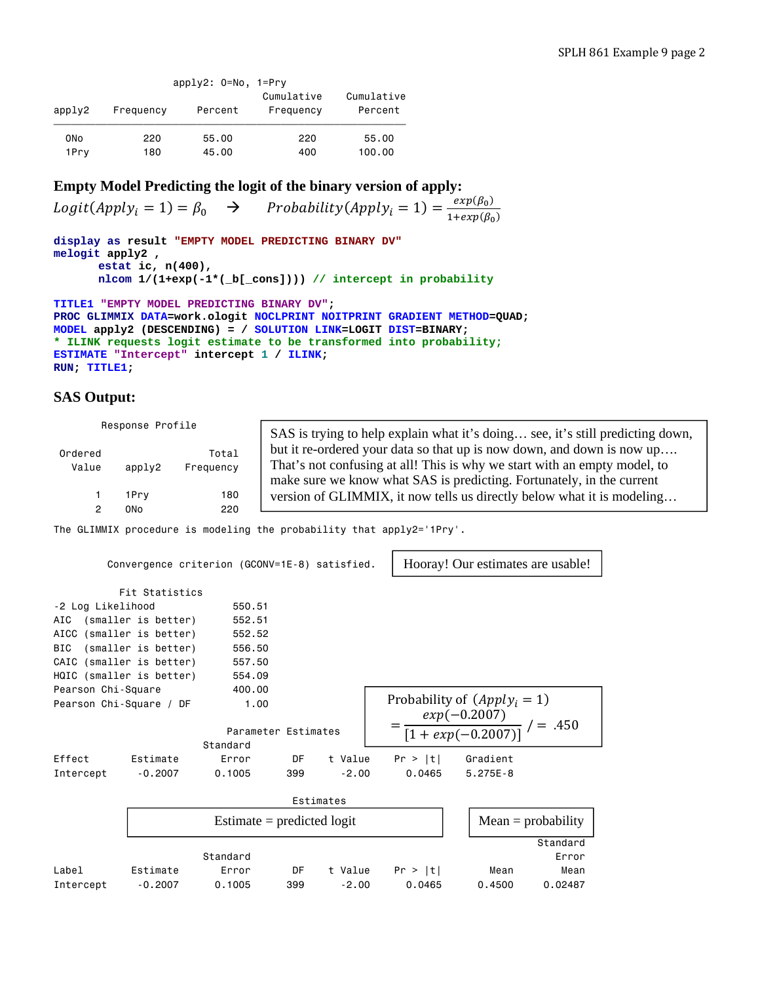|                 |           | $apply2: 0=No, 1=Prv$ |                         |                       |
|-----------------|-----------|-----------------------|-------------------------|-----------------------|
| apply2          | Frequency | Percent               | Cumulative<br>Frequency | Cumulative<br>Percent |
|                 |           |                       |                         |                       |
| 0 <sub>No</sub> | 220       | 55.00                 | 220                     | 55.00                 |
| 1Prv            | 180       | 45.00                 | 400                     | 100.00                |

# **Empty Model Predicting the logit of the binary version of apply:**

 $Logit(Apply_i = 1) = \beta_0 \rightarrow Probability(Apply_i = 1) = \frac{exp(\beta_0)}{1 + exp(\beta_0)}$ 

```
display as result "EMPTY MODEL PREDICTING BINARY DV"
melogit apply2 , 
      estat ic, n(400), 
      nlcom 1/(1+exp(-1*(_b[_cons]))) // intercept in probability
```

```
TITLE1 "EMPTY MODEL PREDICTING BINARY DV"; 
PROC GLIMMIX DATA=work.ologit NOCLPRINT NOITPRINT GRADIENT METHOD=QUAD; 
MODEL apply2 (DESCENDING) = / SOLUTION LINK=LOGIT DIST=BINARY; 
* ILINK requests logit estimate to be transformed into probability; 
ESTIMATE "Intercept" intercept 1 / ILINK; 
RUN; TITLE1;
```
## **SAS Output:**

|         | Response Profile |           | SAS is trying to help explain what it's doing see, it's still predicting down, |
|---------|------------------|-----------|--------------------------------------------------------------------------------|
| Ordered |                  | Total     | but it re-ordered your data so that up is now down, and down is now up         |
| Value   | apply2           | Frequency | That's not confusing at all! This is why we start with an empty model, to      |
|         |                  |           | make sure we know what SAS is predicting. Fortunately, in the current          |
|         | 1Prv             | 180       | version of GLIMMIX, it now tells us directly below what it is modeling         |
|         | 0No              | 220       |                                                                                |

The GLIMMIX procedure is modeling the probability that apply2='1Pry'.

|                          |                     | Convergence criterion (GCONV=1E-8) satisfied. |     |           |                                                   |         | Hooray! Our estimates are usable! |                      |
|--------------------------|---------------------|-----------------------------------------------|-----|-----------|---------------------------------------------------|---------|-----------------------------------|----------------------|
|                          | Fit Statistics      |                                               |     |           |                                                   |         |                                   |                      |
| -2 Log Likelihood        |                     | 550.51                                        |     |           |                                                   |         |                                   |                      |
| AIC                      | (smaller is better) | 552.51                                        |     |           |                                                   |         |                                   |                      |
| AICC (smaller is better) |                     | 552.52                                        |     |           |                                                   |         |                                   |                      |
| <b>BIC</b>               | (smaller is better) | 556.50                                        |     |           |                                                   |         |                                   |                      |
| CAIC (smaller is better) |                     | 557.50                                        |     |           |                                                   |         |                                   |                      |
| HQIC (smaller is better) |                     | 554.09                                        |     |           |                                                   |         |                                   |                      |
| Pearson Chi-Square       |                     | 400,00                                        |     |           |                                                   |         |                                   |                      |
| Pearson Chi-Square / DF  |                     | 1.00                                          |     |           |                                                   |         | Probability of $(Apply_i = 1)$    |                      |
|                          |                     | Parameter Estimates<br>Standard               |     |           | $=\frac{exp(-0.2007)}{[1+exp(-0.2007)]}$ / = .450 |         |                                   |                      |
| Effect                   | Estimate            | Error                                         | DF  | t Value   |                                                   | Pr >  t | Gradient                          |                      |
| Intercept                | $-0.2007$           | 0.1005                                        | 399 | $-2.00$   |                                                   | 0.0465  | $5.275E - 8$                      |                      |
|                          |                     |                                               |     | Estimates |                                                   |         |                                   |                      |
|                          |                     | Estimate = predicted $logit$                  |     |           |                                                   |         |                                   | $Mean = probability$ |
|                          |                     |                                               |     |           |                                                   |         |                                   | Standard             |
|                          |                     | Standard                                      |     |           |                                                   |         |                                   | Error                |
| Label                    | Estimate            | Error                                         | DF  | t Value   |                                                   | Pr >  t | Mean                              | Mean                 |
| Intercept                | $-0.2007$           | 0.1005                                        | 399 | $-2.00$   |                                                   | 0.0465  | 0.4500                            | 0.02487              |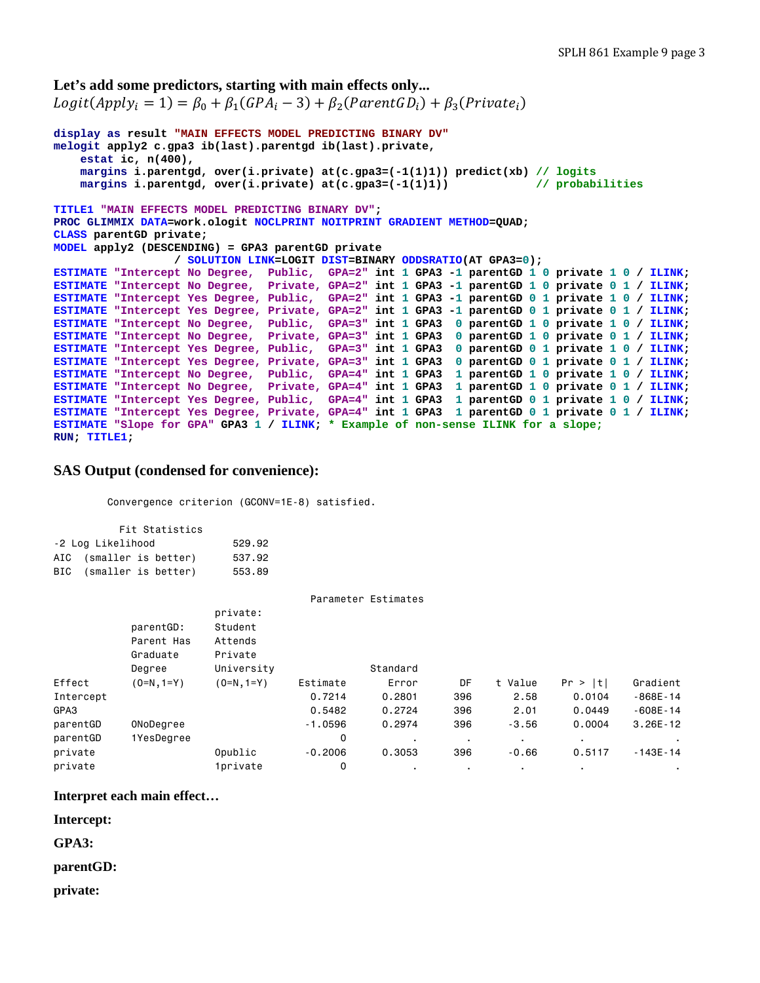```
Let's add some predictors, starting with main effects only...
Logit(Apply_i = 1) = \beta_0 + \beta_1(GPA_i - 3) + \beta_2(ParentGD_i) + \beta_3(Private_i)display as result "MAIN EFFECTS MODEL PREDICTING BINARY DV"
melogit apply2 c.gpa3 ib(last).parentgd ib(last).private, 
     estat ic, n(400), 
     margins i.parentgd, over(i.private) at(c.gpa3=(-1(1)1)) predict(xb) // logits
     margins i.parentgd, over(i.private) at(c.gpa3=(-1(1)1)) // probabilities
TITLE1 "MAIN EFFECTS MODEL PREDICTING BINARY DV"; 
PROC GLIMMIX DATA=work.ologit NOCLPRINT NOITPRINT GRADIENT METHOD=QUAD; 
CLASS parentGD private; 
MODEL apply2 (DESCENDING) = GPA3 parentGD private 
                   / SOLUTION LINK=LOGIT DIST=BINARY ODDSRATIO(AT GPA3=0); 
ESTIMATE "Intercept No Degree, Public, GPA=2" int 1 GPA3 -1 parentGD 1 0 private 1 0 / ILINK; 
ESTIMATE "Intercept No Degree, Private, GPA=2" int 1 GPA3 -1 parentGD 1 0 private 0 1 / ILINK; 
ESTIMATE "Intercept Yes Degree, Public, GPA=2" int 1 GPA3 -1 parentGD 0 1 private 1 0 / ILINK; 
ESTIMATE "Intercept Yes Degree, Private, GPA=2" int 1 GPA3 -1 parentGD 0 1 private 0 1 / ILINK; 
ESTIMATE "Intercept No Degree, Public, GPA=3" int 1 GPA3 0 parentGD 1 0 private 1 0 / ILINK; 
ESTIMATE "Intercept No Degree, Private, GPA=3" int 1 GPA3 0 parentGD 1 0 private 0 1 / ILINK; 
ESTIMATE "Intercept Yes Degree, Public, GPA=3" int 1 GPA3 0 parentGD 0 1 private 1 0 / ILINK; 
ESTIMATE "Intercept Yes Degree, Private, GPA=3" int 1 GPA3 0 parentGD 0 1 private 0 1 / ILINK; 
ESTIMATE "Intercept No Degree, Public, GPA=4" int 1 GPA3 1 parentGD 1 0 private 1 0 / ILINK; 
ESTIMATE "Intercept No Degree, Private, GPA=4" int 1 GPA3 1 parentGD 1 0 private 0 1 / ILINK; 
ESTIMATE "Intercept Yes Degree, Public, GPA=4" int 1 GPA3 1 parentGD 0 1 private 1 0 / ILINK; 
ESTIMATE "Intercept Yes Degree, Private, GPA=4" int 1 GPA3 1 parentGD 0 1 private 0 1 / ILINK; 
ESTIMATE "Slope for GPA" GPA3 1 / ILINK; * Example of non-sense ILINK for a slope; 
RUN; TITLE1;
```
### **SAS Output (condensed for convenience):**

Convergence criterion (GCONV=1E-8) satisfied.

|                             | Fit Statistics          |        |  |  |  |  |  |  |  |  |  |
|-----------------------------|-------------------------|--------|--|--|--|--|--|--|--|--|--|
| -2 Log Likelihood<br>529.92 |                         |        |  |  |  |  |  |  |  |  |  |
|                             | AIC (smaller is better) | 537.92 |  |  |  |  |  |  |  |  |  |
|                             | BIC (smaller is better) | 553.89 |  |  |  |  |  |  |  |  |  |

|              | private:               |           |                |                     |         |         |              |
|--------------|------------------------|-----------|----------------|---------------------|---------|---------|--------------|
| parentGD:    | Student                |           |                |                     |         |         |              |
| Parent Has   | Attends                |           |                |                     |         |         |              |
| Graduate     | Private                |           |                |                     |         |         |              |
| Degree       | University             |           | Standard       |                     |         |         |              |
| $(0=N, 1=Y)$ | $(0=N, 1=Y)$           | Estimate  | Error          | DF                  | t Value | Pr >  t | Gradient     |
|              |                        | 0.7214    | 0.2801         | 396                 | 2.58    | 0.0104  | $-868E - 14$ |
|              |                        | 0.5482    | 0.2724         | 396                 | 2.01    | 0.0449  | $-608E - 14$ |
| ONoDegree    |                        | $-1.0596$ | 0.2974         | 396                 | $-3.56$ | 0.0004  | $3.26E - 12$ |
| 1YesDegree   |                        | 0         | $\blacksquare$ | $\blacksquare$      | $\cdot$ |         |              |
|              | Opublic                | $-0.2006$ | 0.3053         | 396                 | $-0.66$ | 0.5117  | $-143E - 14$ |
|              | <i><b>1private</b></i> | 0         | ٠              | ٠                   | ٠.      | ٠       |              |
|              |                        |           |                | Parameter Estimates |         |         |              |

### **Interpret each main effect…**

**Intercept:** 

**GPA3:** 

#### **parentGD:**

**private:**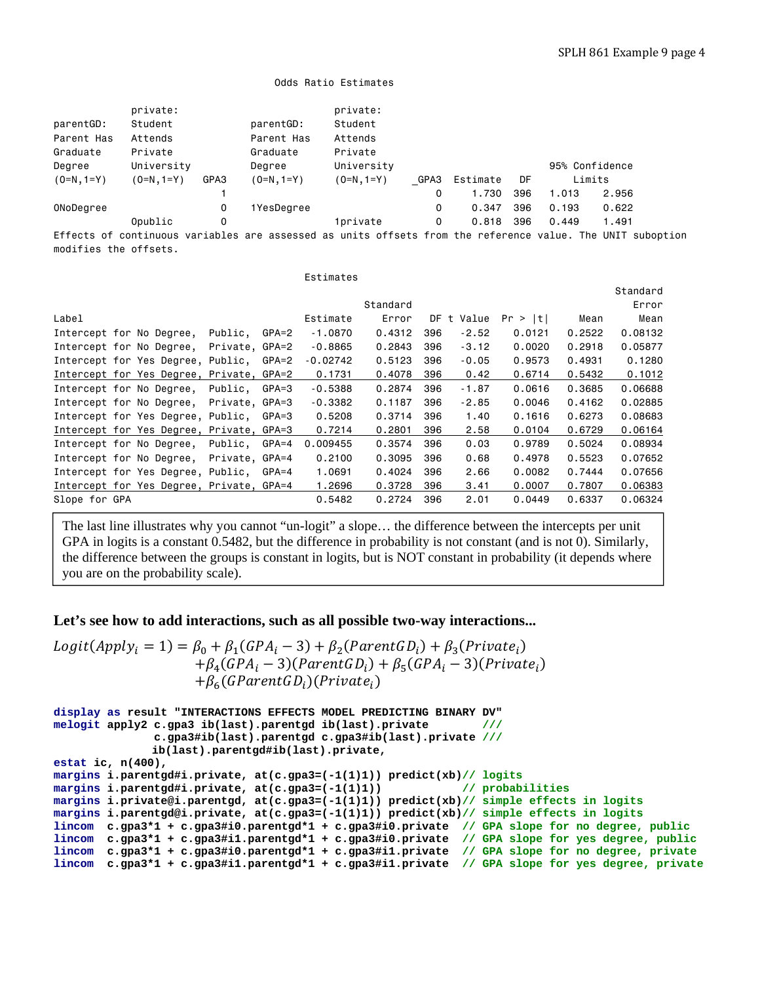```
 Odds Ratio Estimates
```

|                       | private:     |      |              | private:                                                                                                   |      |          |     |       |                |  |
|-----------------------|--------------|------|--------------|------------------------------------------------------------------------------------------------------------|------|----------|-----|-------|----------------|--|
| parentGD:             | Student      |      | parentGD:    | Student                                                                                                    |      |          |     |       |                |  |
| Parent Has            | Attends      |      | Parent Has   | Attends                                                                                                    |      |          |     |       |                |  |
| Graduate              | Private      |      | Graduate     | Private                                                                                                    |      |          |     |       |                |  |
| Degree                | University   |      | Degree       | University                                                                                                 |      |          |     |       | 95% Confidence |  |
| $(0=N, 1=Y)$          | $(0=N, 1=Y)$ | GPA3 | $(0=N, 1=Y)$ | $(0=N, 1=Y)$                                                                                               | GPA3 | Estimate | DF  |       | Limits         |  |
|                       |              |      |              |                                                                                                            | 0    | 1,730    | 396 | 1.013 | 2,956          |  |
| ONoDegree             |              | 0    | 1YesDegree   |                                                                                                            | 0    | 0.347    | 396 | 0.193 | 0.622          |  |
|                       | Opublic      | 0    |              | 1private                                                                                                   | 0    | 0.818    | 396 | 0.449 | 1.491          |  |
| modifies the offsets. |              |      |              | Effects of continuous variables are assessed as units offsets from the reference value. The UNIT suboption |      |          |     |       |                |  |

|               |                                          |                |         | Estimates  |          |     |         |         |        |          |
|---------------|------------------------------------------|----------------|---------|------------|----------|-----|---------|---------|--------|----------|
|               |                                          |                |         |            |          |     |         |         |        | Standard |
|               |                                          |                |         |            | Standard |     |         |         |        | Error    |
| Label         |                                          |                |         | Estimate   | Error    | DF  | t Value | Pr >  t | Mean   | Mean     |
|               | Intercept for No Degree,                 | Public,        | GPA=2   | $-1.0870$  | 0.4312   | 396 | $-2.52$ | 0.0121  | 0.2522 | 0.08132  |
|               | Intercept for No Degree,                 | Private, GPA=2 |         | $-0.8865$  | 0.2843   | 396 | $-3.12$ | 0.0020  | 0.2918 | 0.05877  |
|               | Intercept for Yes Degree, Public,        |                | GPA=2   | $-0.02742$ | 0.5123   | 396 | $-0.05$ | 0.9573  | 0.4931 | 0.1280   |
|               | Intercept for Yes Degree, Private, GPA=2 |                |         | 0.1731     | 0.4078   | 396 | 0.42    | 0.6714  | 0.5432 | 0.1012   |
|               | Intercept for No Degree,                 | Public,        | GPA=3   | $-0.5388$  | 0.2874   | 396 | $-1.87$ | 0.0616  | 0.3685 | 0.06688  |
|               | Intercept for No Degree,                 | Private, GPA=3 |         | $-0.3382$  | 0.1187   | 396 | $-2.85$ | 0.0046  | 0.4162 | 0.02885  |
|               | Intercept for Yes Degree, Public,        |                | GPA=3   | 0.5208     | 0.3714   | 396 | 1.40    | 0.1616  | 0.6273 | 0.08683  |
|               | Intercept for Yes Degree, Private, GPA=3 |                |         | 0.7214     | 0.2801   | 396 | 2.58    | 0.0104  | 0.6729 | 0.06164  |
|               | Intercept for No Degree,                 | Public,        | $GPA=4$ | 0.009455   | 0.3574   | 396 | 0.03    | 0.9789  | 0.5024 | 0.08934  |
|               | Intercept for No Degree,                 | Private, GPA=4 |         | 0.2100     | 0.3095   | 396 | 0.68    | 0.4978  | 0.5523 | 0.07652  |
|               | Intercept for Yes Degree, Public,        |                | GPA=4   | 1.0691     | 0.4024   | 396 | 2.66    | 0.0082  | 0.7444 | 0.07656  |
|               | Intercept for Yes Degree, Private, GPA=4 |                |         | 1,2696     | 0.3728   | 396 | 3.41    | 0.0007  | 0.7807 | 0.06383  |
| Slope for GPA |                                          |                |         | 0.5482     | 0.2724   | 396 | 2.01    | 0.0449  | 0.6337 | 0.06324  |

The last line illustrates why you cannot "un-logit" a slope… the difference between the intercepts per unit GPA in logits is a constant 0.5482, but the difference in probability is not constant (and is not 0). Similarly, the difference between the groups is constant in logits, but is NOT constant in probability (it depends where you are on the probability scale).

## **Let's see how to add interactions, such as all possible two-way interactions...**

```
Logit(Apply_i = 1) = \beta_0 + \beta_1(GPA_i - 3) + \beta_2(ParentGD_i) + \beta_3(Private_i)+ \beta_4 (GPA_i - 3) (ParentGD_i) + \beta_5 (GPA_i - 3) (Private_i)+ \beta_{6}(GParentGD_i)(Private_i)
```

```
display as result "INTERACTIONS EFFECTS MODEL PREDICTING BINARY DV" 
melogit apply2 c.gpa3 ib(last).parentgd ib(last).private /// 
               c.gpa3#ib(last).parentgd c.gpa3#ib(last).private ///
               ib(last).parentgd#ib(last).private, 
estat ic, n(400), 
margins i.parentgd#i.private, at(c.gpa3=(-1(1)1)) predict(xb)// logits
margins i.parentgd#i.private, at(c.gpa3=(-1(1)1))
margins i.private@i.parentgd, at(c.gpa3=(-1(1)1)) predict(xb)// simple effects in logits
margins i.parentgd@i.private, at(c.gpa3=(-1(1)1)) predict(xb)// simple effects in logits
lincom c.gpa3*1 + c.gpa3#i0.parentgd*1 + c.gpa3#i0.private // GPA slope for no degree, public
lincom c.gpa3*1 + c.gpa3#i1.parentgd*1 + c.gpa3#i0.private // GPA slope for yes degree, public
lincom c.gpa3*1 + c.gpa3#i0.parentgd*1 + c.gpa3#i1.private // GPA slope for no degree, private
lincom c.gpa3*1 + c.gpa3#i1.parentgd*1 + c.gpa3#i1.private // GPA slope for yes degree, private
```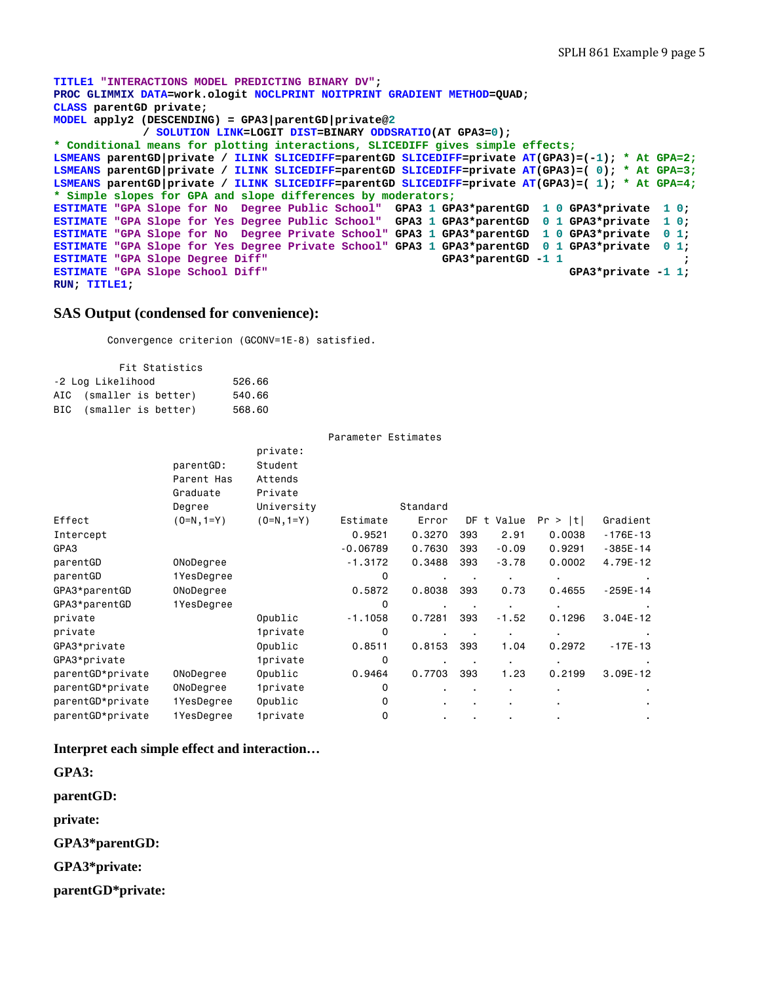```
TITLE1 "INTERACTIONS MODEL PREDICTING BINARY DV"; 
PROC GLIMMIX DATA=work.ologit NOCLPRINT NOITPRINT GRADIENT METHOD=QUAD; 
CLASS parentGD private; 
MODEL apply2 (DESCENDING) = GPA3|parentGD|private@2 
             / SOLUTION LINK=LOGIT DIST=BINARY ODDSRATIO(AT GPA3=0); 
* Conditional means for plotting interactions, SLICEDIFF gives simple effects;
LSMEANS parentGD|private / ILINK SLICEDIFF=parentGD SLICEDIFF=private AT(GPA3)=(-1); * At GPA=2;
LSMEANS parentGD|private / ILINK SLICEDIFF=parentGD SLICEDIFF=private AT(GPA3)=( 0); * At GPA=3;
LSMEANS parentGD|private / ILINK SLICEDIFF=parentGD SLICEDIFF=private AT(GPA3)=( 1); * At GPA=4;
* Simple slopes for GPA and slope differences by moderators;
ESTIMATE "GPA Slope for No Degree Public School" GPA3 1 GPA3*parentGD 1 0 GPA3*private 1 0; 
ESTIMATE "GPA Slope for Yes Degree Public School" GPA3 1 GPA3*parentGD 0 1 GPA3*private 1 0; 
ESTIMATE "GPA Slope for No Degree Private School" GPA3 1 GPA3*parentGD 1 0 GPA3*private 0 1; 
ESTIMATE "GPA Slope for Yes Degree Private School" GPA3 1 GPA3*parentGD 0 1 GPA3*private 0 1; 
ESTIMATE "GPA Slope Degree Diff" <br>
ESTIMATE "GPA Slope School Diff" GPA3*parentGD -1 1 ; <br>
GPA3*private -1 1;
ESTIMATE "GPA Slope School Diff"
RUN; TITLE1;
```
### **SAS Output (condensed for convenience):**

Convergence criterion (GCONV=1E-8) satisfied.

|                   | Fit Statistics          |        |  |  |  |  |  |  |  |  |  |
|-------------------|-------------------------|--------|--|--|--|--|--|--|--|--|--|
| -2 Log Likelihood | 526,66                  |        |  |  |  |  |  |  |  |  |  |
|                   | AIC (smaller is better) | 540.66 |  |  |  |  |  |  |  |  |  |
|                   | BIC (smaller is better) | 568.60 |  |  |  |  |  |  |  |  |  |

|                  |              |                        | Parameter Estimates |                |           |                |         |              |
|------------------|--------------|------------------------|---------------------|----------------|-----------|----------------|---------|--------------|
|                  | parentGD:    | private:<br>Student    |                     |                |           |                |         |              |
|                  | Parent Has   | Attends                |                     |                |           |                |         |              |
|                  | Graduate     | Private                |                     |                |           |                |         |              |
|                  | Degree       | University             |                     | Standard       |           |                |         |              |
| Effect           | $(0=N, 1=Y)$ | $(0=N, 1=Y)$           | Estimate            | Error          | DF        | Value<br>t     | Pr >  t | Gradient     |
| Intercept        |              |                        | 0.9521              | 0.3270         | 393       | 2.91           | 0.0038  | $-176E - 13$ |
| GPA3             |              |                        | $-0.06789$          | 0.7630         | 393       | $-0.09$        | 0.9291  | $-385E - 14$ |
| parentGD         | ONoDegree    |                        | $-1.3172$           | 0.3488         | 393       | $-3.78$        | 0.0002  | 4.79E-12     |
| parentGD         | 1YesDegree   |                        | 0                   | $\blacksquare$ |           |                |         |              |
| GPA3*parentGD    | ONoDegree    |                        | 0.5872              | 0.8038         | 393       | 0.73           | 0.4655  | $-259E - 14$ |
| GPA3*parentGD    | 1YesDegree   |                        | 0                   |                |           |                |         |              |
| private          |              | Opublic                | $-1.1058$           | 0.7281         | 393       | $-1.52$        | 0.1296  | $3.04E - 12$ |
| private          |              | <i><b>1private</b></i> | 0                   | $\blacksquare$ | $\bullet$ | ٠              |         |              |
| GPA3*private     |              | Opublic                | 0.8511              | 0.8153         | 393       | 1.04           | 0.2972  | $-17E-13$    |
| GPA3*private     |              | 1private               | 0                   | ٠              |           |                |         |              |
| parentGD*private | ONoDegree    | Opublic                | 0.9464              | 0.7703         | 393       | 1.23           | 0.2199  | $3.09E - 12$ |
| parentGD*private | ONoDegree    | <i><b>1private</b></i> | 0                   | ٠              | ٠         | $\blacksquare$ |         |              |
| parentGD*private | 1YesDegree   | Opublic                | 0                   | ٠              |           | $\blacksquare$ |         |              |
| parentGD*private | 1YesDegree   | <i><b>1private</b></i> | 0                   | ٠              | ٠         |                |         |              |

**Interpret each simple effect and interaction…** 

**GPA3:** 

**parentGD:** 

**private:** 

**GPA3\*parentGD:** 

**GPA3\*private:** 

**parentGD\*private:**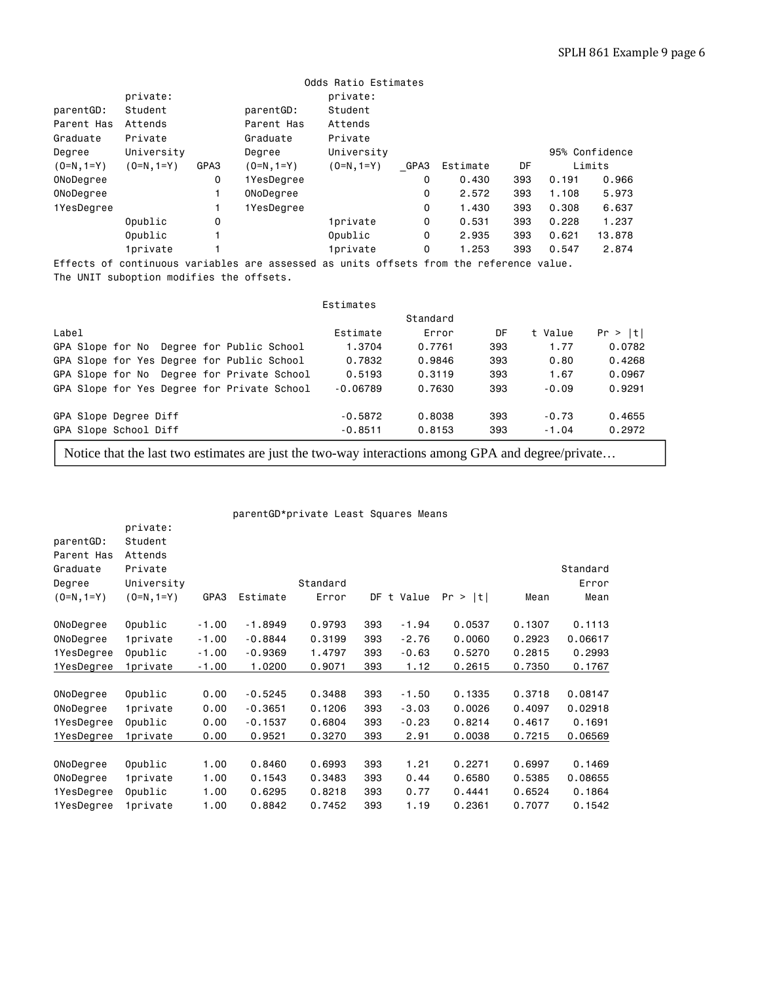|              | Odds Ratio Estimates |      |                                                                              |                                        |  |             |       |     |        |                |
|--------------|----------------------|------|------------------------------------------------------------------------------|----------------------------------------|--|-------------|-------|-----|--------|----------------|
|              | private:             |      |                                                                              | private:                               |  |             |       |     |        |                |
| parentGD:    | Student              |      | parentGD:                                                                    | Student                                |  |             |       |     |        |                |
| Parent Has   | Attends              |      | Parent Has                                                                   | Attends                                |  |             |       |     |        |                |
| Graduate     | Private              |      | Graduate                                                                     | Private                                |  |             |       |     |        |                |
| Degree       | University           |      | Degree                                                                       | University                             |  |             |       |     |        | 95% Confidence |
| $(0=N, 1=Y)$ | $(0=N, 1=Y)$         | GPA3 | $(0=N, 1=Y)$                                                                 | GPA3<br>DF<br>Estimate<br>$(0=N, 1=Y)$ |  |             |       |     | Limits |                |
| ONoDegree    |                      | 0    | 1YesDegree                                                                   |                                        |  | 0           | 0.430 | 393 | 0.191  | 0.966          |
| ONoDegree    |                      |      | ONoDegree                                                                    |                                        |  | 0           | 2.572 | 393 | 1,108  | 5.973          |
| 1YesDegree   |                      |      | 1YesDegree                                                                   |                                        |  | 0           | 1,430 | 393 | 0.308  | 6.637          |
|              | Opublic              | 0    |                                                                              | <i><b>1private</b></i>                 |  | 0           | 0.531 | 393 | 0.228  | 1.237          |
|              | Opublic              |      |                                                                              | Opublic                                |  | 0           | 2.935 | 393 | 0.621  | 13,878         |
|              | <b>1private</b>      |      |                                                                              | <i><b>1private</b></i>                 |  | $\mathbf 0$ | 1.253 | 393 | 0.547  | 2.874          |
| Effects of   |                      |      | continuous variables are assessed as units offsets from the reference value. |                                        |  |             |       |     |        |                |

The UNIT suboption modifies the offsets.

private:

|                                             | Estimates  |          |     |         |         |
|---------------------------------------------|------------|----------|-----|---------|---------|
|                                             |            | Standard |     |         |         |
| Label                                       | Estimate   | Error    | DF  | t Value | Pr >  t |
| GPA Slope for No Degree for Public School   | 1.3704     | 0.7761   | 393 | 1.77    | 0.0782  |
| GPA Slope for Yes Degree for Public School  | 0.7832     | 0.9846   | 393 | 0.80    | 0.4268  |
| GPA Slope for No Degree for Private School  | 0.5193     | 0.3119   | 393 | 1.67    | 0.0967  |
| GPA Slope for Yes Degree for Private School | $-0.06789$ | 0.7630   | 393 | $-0.09$ | 0.9291  |
| GPA Slope Degree Diff                       | $-0.5872$  | 0.8038   | 393 | $-0.73$ | 0.4655  |
| GPA Slope School Diff                       | $-0.8511$  | 0.8153   | 393 | $-1.04$ | 0.2972  |
|                                             |            |          |     |         |         |

Notice that the last two estimates are just the two-way interactions among GPA and degree/private…

parentGD\*private Least Squares Means

| parentGD:    | Student                |         |           |          |     |            |         |        |          |
|--------------|------------------------|---------|-----------|----------|-----|------------|---------|--------|----------|
| Parent Has   | Attends                |         |           |          |     |            |         |        |          |
| Graduate     | Private                |         |           |          |     |            |         |        | Standard |
| Degree       | University             |         |           | Standard |     |            |         |        | Error    |
| $(0=N, 1=Y)$ | $(0=N, 1=Y)$           | GPA3    | Estimate  | Error    |     | DF t Value | Pr >  t | Mean   | Mean     |
| ONoDegree    | Opublic                | $-1.00$ | $-1.8949$ | 0.9793   | 393 | $-1.94$    | 0.0537  | 0.1307 | 0.1113   |
| ONoDegree    | 1private               | $-1.00$ | $-0.8844$ | 0.3199   | 393 | $-2.76$    | 0,0060  | 0.2923 | 0.06617  |
| 1YesDegree   | Opublic                | $-1.00$ | $-0.9369$ | 1.4797   | 393 | $-0.63$    | 0.5270  | 0.2815 | 0.2993   |
| 1YesDegree   | <i><b>1private</b></i> | $-1.00$ | 1.0200    | 0.9071   | 393 | 1.12       | 0.2615  | 0.7350 | 0.1767   |
|              |                        |         |           |          |     |            |         |        |          |
| ONoDegree    | Opublic                | 0.00    | $-0.5245$ | 0.3488   | 393 | $-1.50$    | 0.1335  | 0.3718 | 0.08147  |
| ONoDegree    | 1private               | 0.00    | $-0.3651$ | 0.1206   | 393 | $-3.03$    | 0.0026  | 0.4097 | 0.02918  |
| 1YesDegree   | Opublic                | 0.00    | $-0.1537$ | 0.6804   | 393 | $-0.23$    | 0.8214  | 0.4617 | 0.1691   |
| 1YesDegree   | 1private               | 0.00    | 0.9521    | 0.3270   | 393 | 2.91       | 0.0038  | 0.7215 | 0.06569  |
|              |                        |         |           |          |     |            |         |        |          |
| ONoDegree    | Opublic                | 1.00    | 0.8460    | 0.6993   | 393 | 1.21       | 0.2271  | 0.6997 | 0.1469   |
| ONoDegree    | 1private               | 1.00    | 0.1543    | 0.3483   | 393 | 0.44       | 0.6580  | 0.5385 | 0.08655  |
| 1YesDegree   | Opublic                | 1.00    | 0.6295    | 0.8218   | 393 | 0.77       | 0.4441  | 0.6524 | 0.1864   |
| 1YesDegree   | 1private               | 1.00    | 0.8842    | 0.7452   | 393 | 1.19       | 0.2361  | 0.7077 | 0.1542   |